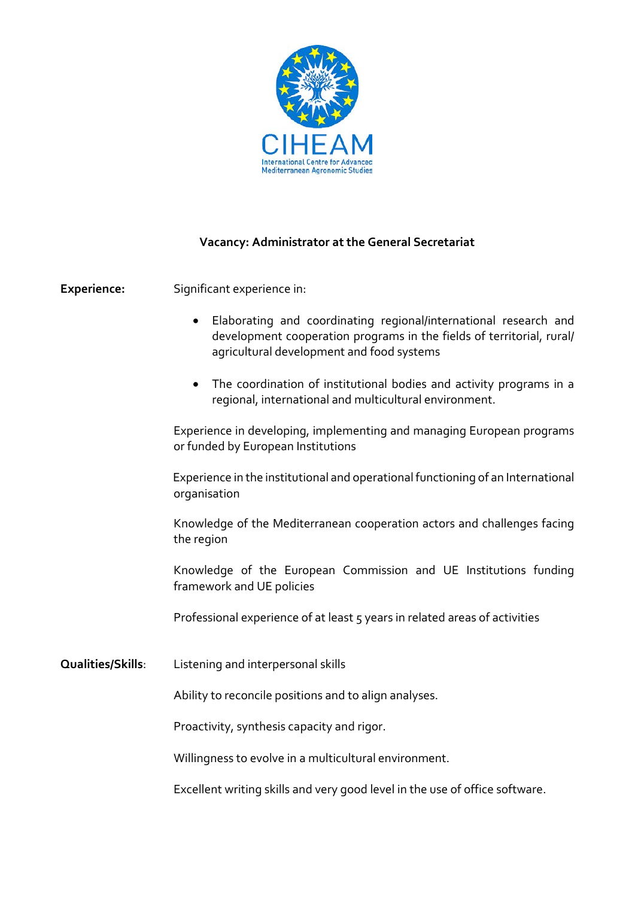

## **Vacancy: Administrator at the General Secretariat**

**Experience:** Significant experience in:

- Elaborating and coordinating regional/international research and development cooperation programs in the fields of territorial, rural/ agricultural development and food systems
- The coordination of institutional bodies and activity programs in a regional, international and multicultural environment.

Experience in developing, implementing and managing European programs or funded by European Institutions

 Experience in the institutional and operational functioning of an International organisation

Knowledge of the Mediterranean cooperation actors and challenges facing the region

Knowledge of the European Commission and UE Institutions funding framework and UE policies

Professional experience of at least 5 years in related areas of activities

**Qualities/Skills**: Listening and interpersonal skills

Ability to reconcile positions and to align analyses.

Proactivity, synthesis capacity and rigor.

Willingness to evolve in a multicultural environment.

Excellent writing skills and very good level in the use of office software.